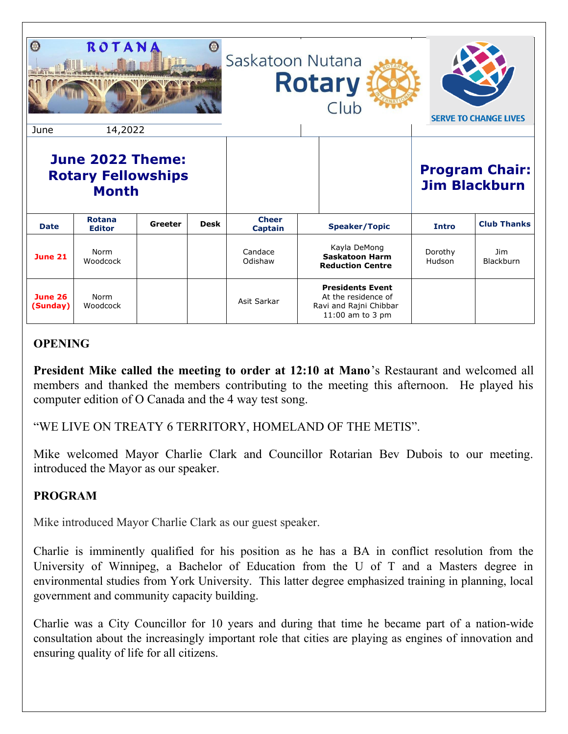| $\odot$<br>June                                               | ROTANA<br>14,2022              |         |             | Saskatoon Nutana<br><b>Rotary</b><br>Club |  |                                                                                                | <b>SERVE TO CHANGE LIVES</b> |                                               |
|---------------------------------------------------------------|--------------------------------|---------|-------------|-------------------------------------------|--|------------------------------------------------------------------------------------------------|------------------------------|-----------------------------------------------|
| June 2022 Theme:<br><b>Rotary Fellowships</b><br><b>Month</b> |                                |         |             |                                           |  |                                                                                                |                              | <b>Program Chair:</b><br><b>Jim Blackburn</b> |
| <b>Date</b>                                                   | <b>Rotana</b><br><b>Editor</b> | Greeter | <b>Desk</b> | <b>Cheer</b><br><b>Captain</b>            |  | <b>Speaker/Topic</b>                                                                           | Intro                        | <b>Club Thanks</b>                            |
| <b>June 21</b>                                                | Norm<br>Woodcock               |         |             | Candace<br>Odishaw                        |  | Kayla DeMong<br><b>Saskatoon Harm</b><br><b>Reduction Centre</b>                               | Dorothy<br>Hudson            | <b>Jim</b><br>Blackburn                       |
| <b>June 26</b><br>(Sunday)                                    | Norm<br>Woodcock               |         |             | Asit Sarkar                               |  | <b>Presidents Event</b><br>At the residence of<br>Ravi and Rajni Chibbar<br>$11:00$ am to 3 pm |                              |                                               |

# **OPENING**

**President Mike called the meeting to order at 12:10 at Mano**'s Restaurant and welcomed all members and thanked the members contributing to the meeting this afternoon. He played his computer edition of O Canada and the 4 way test song.

"WE LIVE ON TREATY 6 TERRITORY, HOMELAND OF THE METIS".

Mike welcomed Mayor Charlie Clark and Councillor Rotarian Bev Dubois to our meeting. introduced the Mayor as our speaker.

### **PROGRAM**

Mike introduced Mayor Charlie Clark as our guest speaker.

Charlie is imminently qualified for his position as he has a BA in conflict resolution from the University of Winnipeg, a Bachelor of Education from the U of T and a Masters degree in environmental studies from York University. This latter degree emphasized training in planning, local government and community capacity building.

Charlie was a City Councillor for 10 years and during that time he became part of a nation-wide consultation about the increasingly important role that cities are playing as engines of innovation and ensuring quality of life for all citizens.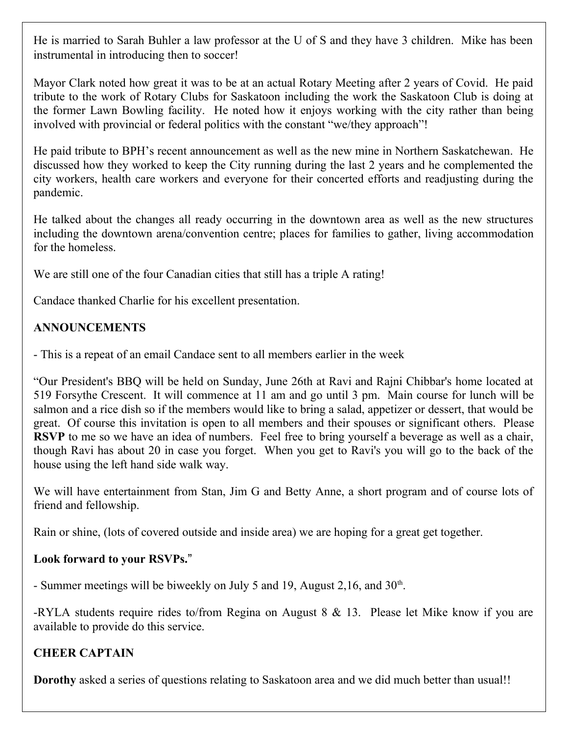He is married to Sarah Buhler a law professor at the U of S and they have 3 children. Mike has been instrumental in introducing then to soccer!

Mayor Clark noted how great it was to be at an actual Rotary Meeting after 2 years of Covid. He paid tribute to the work of Rotary Clubs for Saskatoon including the work the Saskatoon Club is doing at the former Lawn Bowling facility. He noted how it enjoys working with the city rather than being involved with provincial or federal politics with the constant "we/they approach"!

He paid tribute to BPH's recent announcement as well as the new mine in Northern Saskatchewan. He discussed how they worked to keep the City running during the last 2 years and he complemented the city workers, health care workers and everyone for their concerted efforts and readjusting during the pandemic.

He talked about the changes all ready occurring in the downtown area as well as the new structures including the downtown arena/convention centre; places for families to gather, living accommodation for the homeless.

We are still one of the four Canadian cities that still has a triple A rating!

Candace thanked Charlie for his excellent presentation.

## **ANNOUNCEMENTS**

- This is a repeat of an email Candace sent to all members earlier in the week

"Our President's BBQ will be held on Sunday, June 26th at Ravi and Rajni Chibbar's home located at 519 Forsythe Crescent. It will commence at 11 am and go until 3 pm. Main course for lunch will be salmon and a rice dish so if the members would like to bring a salad, appetizer or dessert, that would be great. Of course this invitation is open to all members and their spouses or significant others. Please **RSVP** to me so we have an idea of numbers. Feel free to bring yourself a beverage as well as a chair, though Ravi has about 20 in case you forget. When you get to Ravi's you will go to the back of the house using the left hand side walk way.

We will have entertainment from Stan, Jim G and Betty Anne, a short program and of course lots of friend and fellowship.

Rain or shine, (lots of covered outside and inside area) we are hoping for a great get together.

### **Look forward to your RSVPs.**"

- Summer meetings will be biweekly on July 5 and 19, August 2,16, and  $30<sup>th</sup>$ .

-RYLA students require rides to/from Regina on August 8 & 13. Please let Mike know if you are available to provide do this service.

# **CHEER CAPTAIN**

**Dorothy** asked a series of questions relating to Saskatoon area and we did much better than usual!!